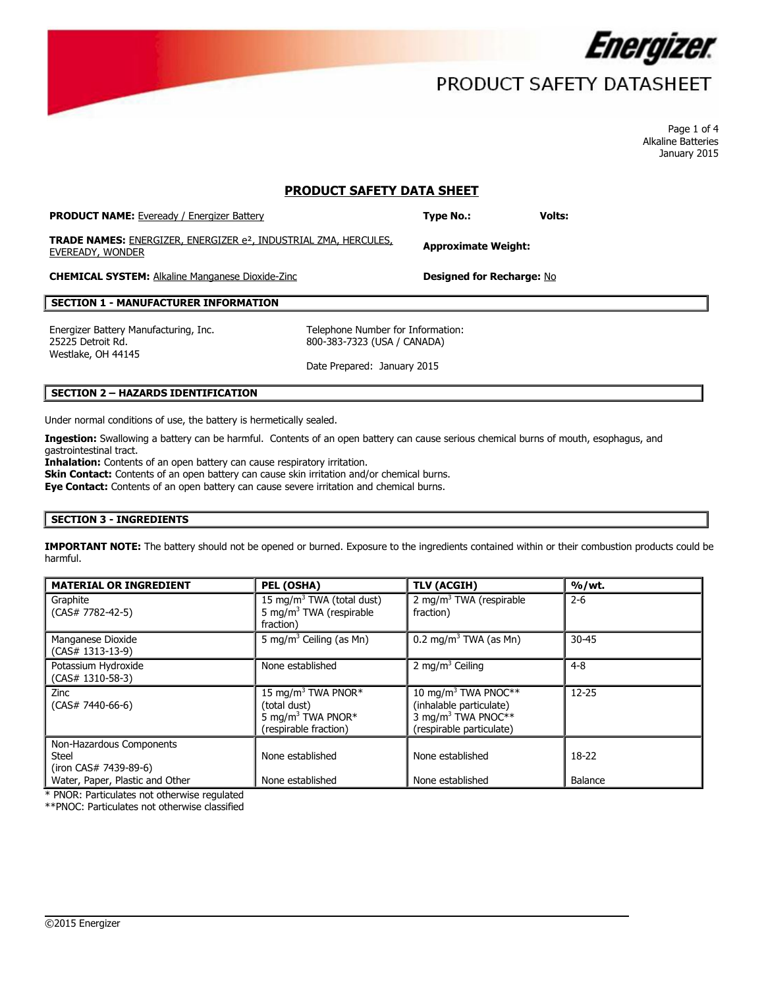

# PRODUCT SAFETY DATASHEET

Page 1 of 4 Alkaline Batteries January 2015

## **PRODUCT SAFETY DATA SHEET**

| <b>PRODUCT NAME:</b> Eveready / Energizer Battery                                                       | <b>Type No.:</b>                 | <b>Volts:</b> |
|---------------------------------------------------------------------------------------------------------|----------------------------------|---------------|
| <b>TRADE NAMES:</b> ENERGIZER, ENERGIZER e <sup>2</sup> , INDUSTRIAL ZMA, HERCULES,<br>EVEREADY, WONDER | <b>Approximate Weight:</b>       |               |
| <b>CHEMICAL SYSTEM:</b> Alkaline Manganese Dioxide-Zinc                                                 | <b>Designed for Recharge: No</b> |               |

## **SECTION 1 - MANUFACTURER INFORMATION**

Energizer Battery Manufacturing, Inc. Telephone Number for Information: 25225 Detroit Rd. Westlake, OH 44145

800-383-7323 (USA / CANADA)

Date Prepared: January 2015

## **SECTION 2 – HAZARDS IDENTIFICATION**

Under normal conditions of use, the battery is hermetically sealed.

**Ingestion:** Swallowing a battery can be harmful. Contents of an open battery can cause serious chemical burns of mouth, esophagus, and gastrointestinal tract.

**Inhalation:** Contents of an open battery can cause respiratory irritation. **Skin Contact:** Contents of an open battery can cause skin irritation and/or chemical burns.

**Eye Contact:** Contents of an open battery can cause severe irritation and chemical burns.

### **SECTION 3 - INGREDIENTS**

**IMPORTANT NOTE:** The battery should not be opened or burned. Exposure to the ingredients contained within or their combustion products could be harmful.

| <b>MATERIAL OR INGREDIENT</b>                                                                 | PEL (OSHA)                                                                                               | <b>TLV (ACGIH)</b>                                                                                                       | % / wt.            |
|-----------------------------------------------------------------------------------------------|----------------------------------------------------------------------------------------------------------|--------------------------------------------------------------------------------------------------------------------------|--------------------|
| Graphite<br>$(CAS# 7782-42-5)$                                                                | 15 mg/m <sup>3</sup> TWA (total dust)<br>5 mg/m <sup>3</sup> TWA (respirable<br>fraction)                | 2 mg/m <sup>3</sup> TWA (respirable<br>fraction)                                                                         | $2 - 6$            |
| Manganese Dioxide<br>$(CAS# 1313-13-9)$                                                       | 5 mg/m <sup>3</sup> Ceiling (as Mn)                                                                      | $0.2 \text{ mg/m}^3$ TWA (as Mn)                                                                                         | $30 - 45$          |
| Potassium Hydroxide<br>$(CAS# 1310-58-3)$                                                     | None established                                                                                         | 2 mg/m <sup>3</sup> Ceiling                                                                                              | $4 - 8$            |
| <b>Zinc</b><br>$(CAS# 7440-66-6)$                                                             | 15 mg/m <sup>3</sup> TWA PNOR*<br>(total dust)<br>5 mg/m <sup>3</sup> TWA PNOR*<br>(respirable fraction) | 10 mg/m <sup>3</sup> TWA PNOC**<br>(inhalable particulate)<br>3 mg/m <sup>3</sup> TWA PNOC**<br>(respirable particulate) | $12 - 25$          |
| Non-Hazardous Components<br>Steel<br>(iron CAS# 7439-89-6)<br>Water, Paper, Plastic and Other | None established<br>None established                                                                     | None established<br>None established                                                                                     | $18-22$<br>Balance |

 $\overline{\phantom{a}}$ 

\* PNOR: Particulates not otherwise regulated

\*\*PNOC: Particulates not otherwise classified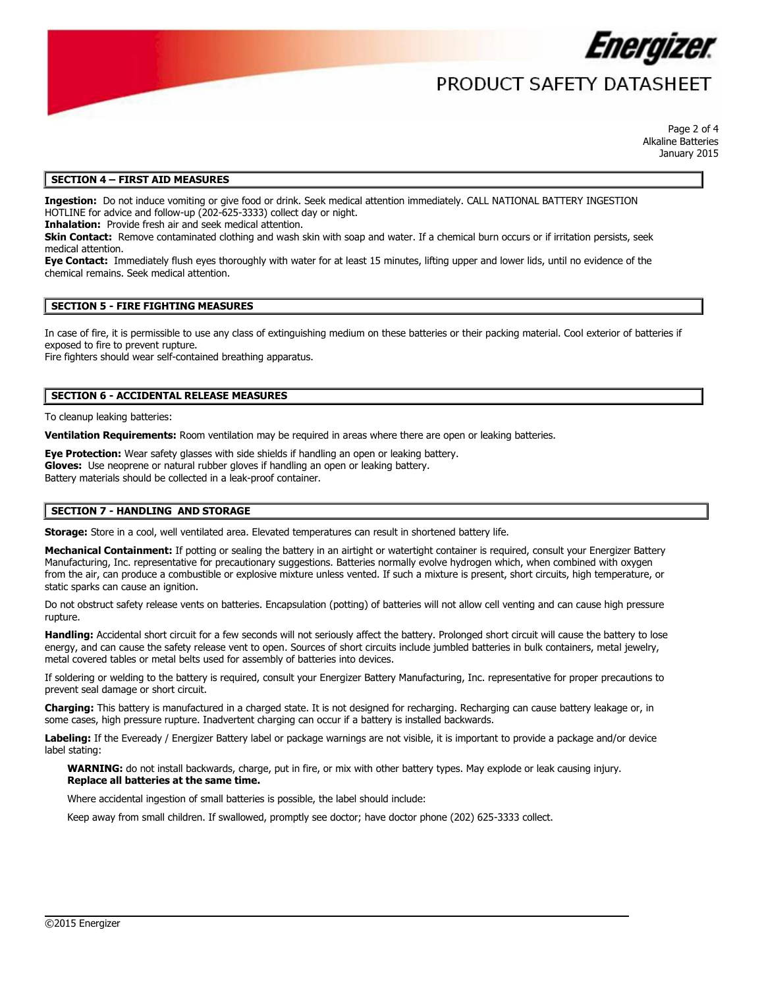

# PRODUCT SAFFTY DATASHFFT

Page 2 of 4 Alkaline Batteries January 2015

## **SECTION 4 – FIRST AID MEASURES**

**Ingestion:** Do not induce vomiting or give food or drink. Seek medical attention immediately. CALL NATIONAL BATTERY INGESTION HOTLINE for advice and follow-up (202-625-3333) collect day or night.

**Inhalation:** Provide fresh air and seek medical attention.

**Skin Contact:** Remove contaminated clothing and wash skin with soap and water. If a chemical burn occurs or if irritation persists, seek medical attention.

**Eye Contact:** Immediately flush eyes thoroughly with water for at least 15 minutes, lifting upper and lower lids, until no evidence of the chemical remains. Seek medical attention.

### **SECTION 5 - FIRE FIGHTING MEASURES**

In case of fire, it is permissible to use any class of extinguishing medium on these batteries or their packing material. Cool exterior of batteries if exposed to fire to prevent rupture.

Fire fighters should wear self-contained breathing apparatus.

### **SECTION 6 - ACCIDENTAL RELEASE MEASURES**

To cleanup leaking batteries:

**Ventilation Requirements:** Room ventilation may be required in areas where there are open or leaking batteries.

**Eye Protection:** Wear safety glasses with side shields if handling an open or leaking battery. **Gloves:** Use neoprene or natural rubber gloves if handling an open or leaking battery. Battery materials should be collected in a leak-proof container.

### **SECTION 7 - HANDLING AND STORAGE**

**Storage:** Store in a cool, well ventilated area. Elevated temperatures can result in shortened battery life.

Mechanical Containment: If potting or sealing the battery in an airtight or watertight container is required, consult your Energizer Battery Manufacturing, Inc. representative for precautionary suggestions. Batteries normally evolve hydrogen which, when combined with oxygen from the air, can produce a combustible or explosive mixture unless vented. If such a mixture is present, short circuits, high temperature, or static sparks can cause an ignition.

Do not obstruct safety release vents on batteries. Encapsulation (potting) of batteries will not allow cell venting and can cause high pressure rupture

**Handling:** Accidental short circuit for a few seconds will not seriously affect the battery. Prolonged short circuit will cause the battery to lose energy, and can cause the safety release vent to open. Sources of short circuits include jumbled batteries in bulk containers, metal jewelry, metal covered tables or metal belts used for assembly of batteries into devices.

If soldering or welding to the battery is required, consult your Energizer Battery Manufacturing, Inc. representative for proper precautions to prevent seal damage or short circuit.

**Charging:** This battery is manufactured in a charged state. It is not designed for recharging. Recharging can cause battery leakage or, in some cases, high pressure rupture. Inadvertent charging can occur if a battery is installed backwards.

**Labeling:** If the Eveready / Energizer Battery label or package warnings are not visible, it is important to provide a package and/or device label stating:

 $\overline{\phantom{a}}$ 

**WARNING:** do not install backwards, charge, put in fire, or mix with other battery types. May explode or leak causing injury. **Replace all batteries at the same time.**

Where accidental ingestion of small batteries is possible, the label should include:

Keep away from small children. If swallowed, promptly see doctor; have doctor phone (202) 625-3333 collect.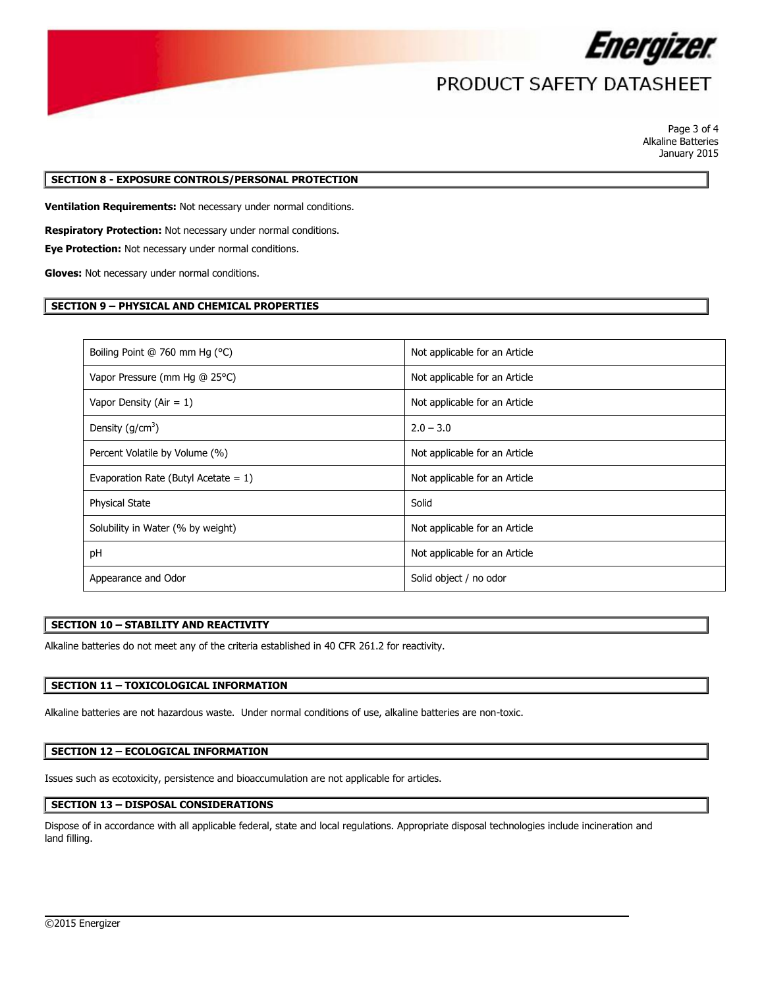

# PRODUCT SAFETY DATASHEET

Page 3 of 4 Alkaline Batteries January 2015

## **SECTION 8 - EXPOSURE CONTROLS/PERSONAL PROTECTION**

**Ventilation Requirements:** Not necessary under normal conditions.

**Respiratory Protection:** Not necessary under normal conditions.

**Eye Protection:** Not necessary under normal conditions.

**Gloves:** Not necessary under normal conditions.

## **SECTION 9 – PHYSICAL AND CHEMICAL PROPERTIES**

| Boiling Point @ 760 mm Hg (°C)          | Not applicable for an Article |
|-----------------------------------------|-------------------------------|
| Vapor Pressure (mm Hg @ 25°C)           | Not applicable for an Article |
| Vapor Density (Air = $1$ )              | Not applicable for an Article |
| Density $(g/cm3)$                       | $2.0 - 3.0$                   |
| Percent Volatile by Volume (%)          | Not applicable for an Article |
| Evaporation Rate (Butyl Acetate = $1$ ) | Not applicable for an Article |
| <b>Physical State</b>                   | Solid                         |
| Solubility in Water (% by weight)       | Not applicable for an Article |
| pH                                      | Not applicable for an Article |
| Appearance and Odor                     | Solid object / no odor        |

### **SECTION 10 – STABILITY AND REACTIVITY**

Alkaline batteries do not meet any of the criteria established in 40 CFR 261.2 for reactivity.

## **SECTION 11 – TOXICOLOGICAL INFORMATION**

Alkaline batteries are not hazardous waste. Under normal conditions of use, alkaline batteries are non-toxic.

### **SECTION 12 – ECOLOGICAL INFORMATION**

Issues such as ecotoxicity, persistence and bioaccumulation are not applicable for articles.

## **SECTION 13 – DISPOSAL CONSIDERATIONS**

Dispose of in accordance with all applicable federal, state and local regulations. Appropriate disposal technologies include incineration and land filling.

 $\overline{\phantom{a}}$